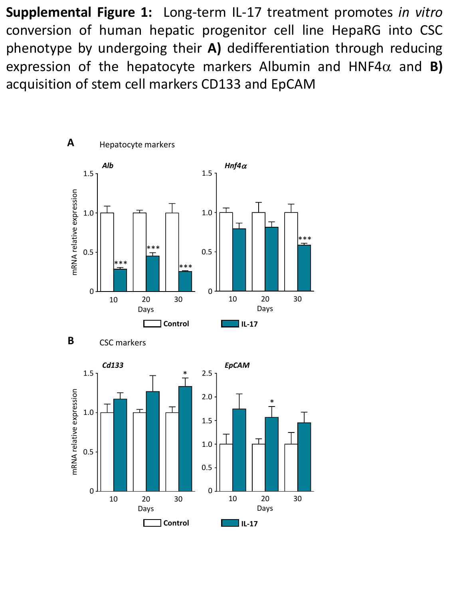**Supplemental Figure 1:** Long-term IL-17 treatment promotes *in vitro* conversion of human hepatic progenitor cell line HepaRG into CSC phenotype by undergoing their **A)** dedifferentiation through reducing expression of the hepatocyte markers Albumin and HNF4 $\alpha$  and **B)** acquisition of stem cell markers CD133 and EpCAM

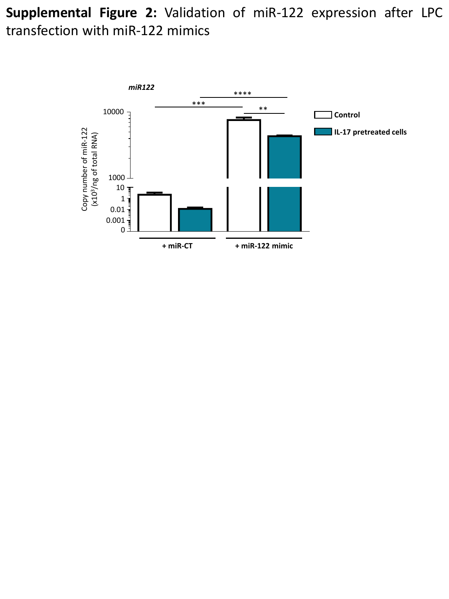**Supplemental Figure 2:** Validation of miR-122 expression after LPC transfection with miR-122 mimics